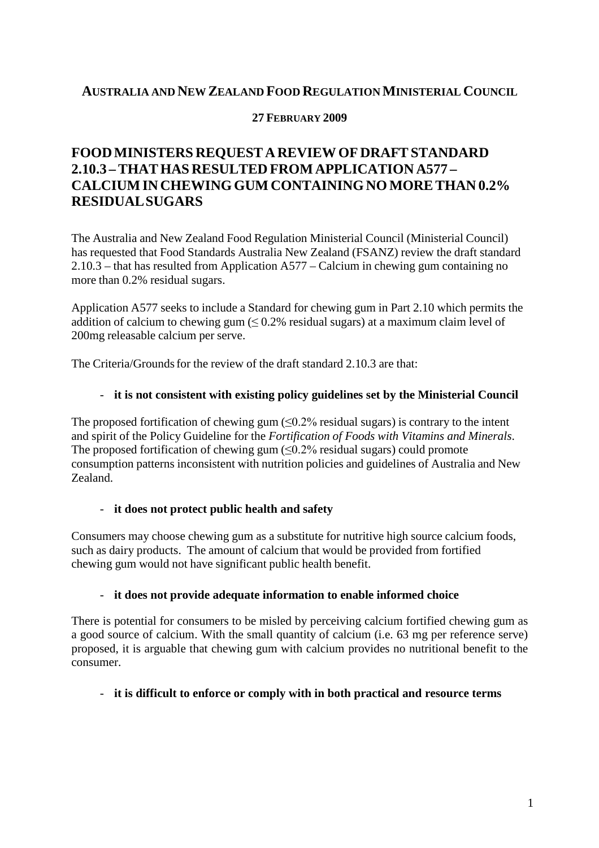### **AUSTRALIA AND NEW ZEALAND FOOD REGULATIONMINISTERIAL COUNCIL**

### **27 FEBRUARY 2009**

# **FOODMINISTERS REQUEST AREVIEWOF DRAFTSTANDARD 2.10.3 –THATHAS RESULTED FROM APPLICATION A577 – CALCIUMIN CHEWINGGUM CONTAININGNOMORETHAN 0.2% RESIDUALSUGARS**

The Australia and New Zealand Food Regulation Ministerial Council (Ministerial Council) has requested that Food Standards Australia New Zealand (FSANZ) review the draft standard 2.10.3 – that has resulted from Application A577 – Calcium in chewing gum containing no more than 0.2% residual sugars.

Application A577 seeks to include a Standard for chewing gum in Part 2.10 which permits the addition of calcium to chewing gum  $(6.2\%$  residual sugars) at a maximum claim level of 200mg releasable calcium per serve.

The Criteria/Grounds for the review of the draft standard 2.10.3 are that:

#### - **it is not consistent with existing policy guidelines set by the Ministerial Council**

The proposed fortification of chewing gum  $(\leq 0.2\%$  residual sugars) is contrary to the intent and spirit of the Policy Guideline for the *Fortification of Foods with Vitamins and Minerals*. The proposed fortification of chewing gum  $(\leq 0.2\%$  residual sugars) could promote consumption patterns inconsistent with nutrition policies and guidelines of Australia and New Zealand.

#### - **it does not protect public health and safety**

Consumers may choose chewing gum as a substitute for nutritive high source calcium foods, such as dairy products. The amount of calcium that would be provided from fortified chewing gum would not have significant public health benefit.

#### - **it does not provide adequate information to enable informed choice**

There is potential for consumers to be misled by perceiving calcium fortified chewing gum as a good source of calcium. With the small quantity of calcium (i.e. 63 mg per reference serve) proposed, it is arguable that chewing gum with calcium provides no nutritional benefit to the consumer.

#### - **it is difficult to enforce or comply with in both practical and resource terms**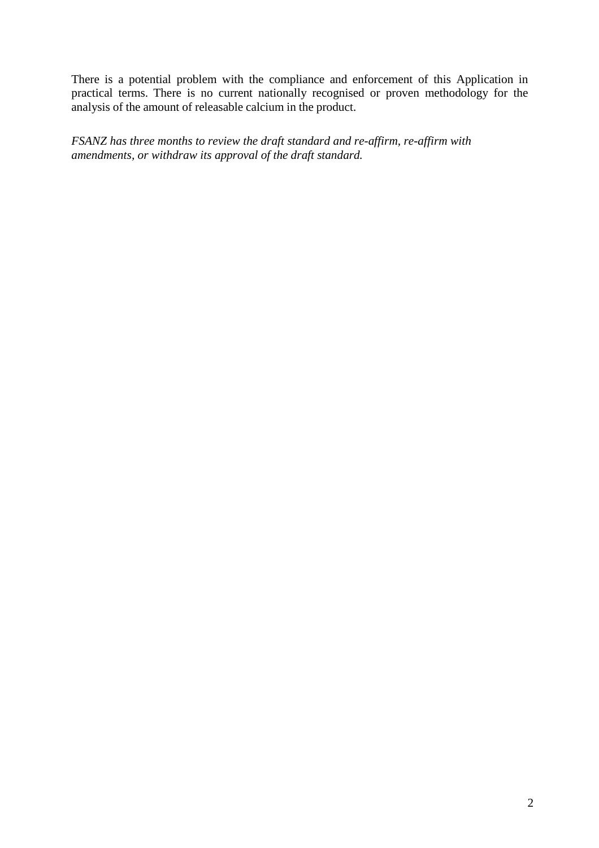There is a potential problem with the compliance and enforcement of this Application in practical terms. There is no current nationally recognised or proven methodology for the analysis of the amount of releasable calcium in the product.

*FSANZ has three months to review the draft standard and re-affirm, re-affirm with amendments, or withdraw its approval of the draft standard.*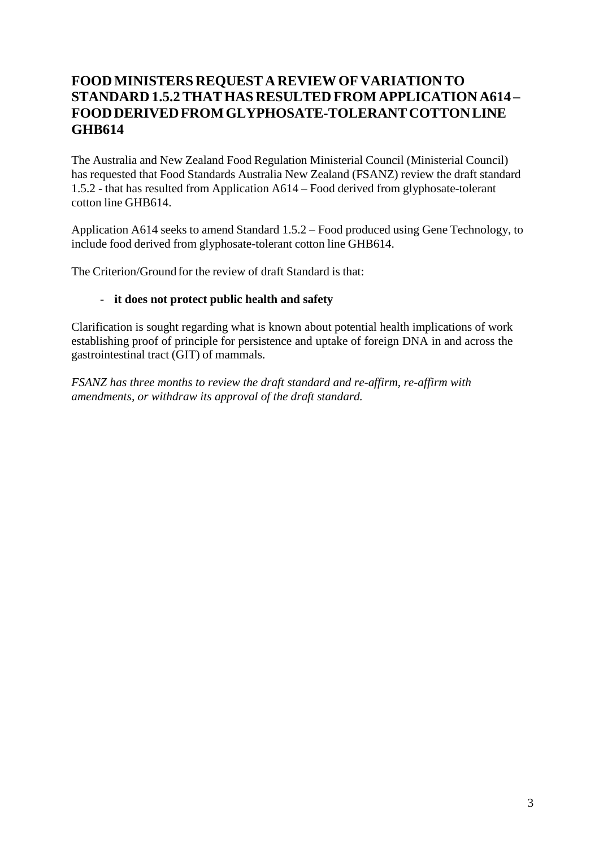# **FOODMINISTERS REQUEST A REVIEWOF VARIATION TO STANDARD 1.5.2THATHAS RESULTED FROMAPPLICATION A614 – FOODDERIVEDFROMGLYPHOSATE-TOLERANTCOTTONLINE GHB614**

The Australia and New Zealand Food Regulation Ministerial Council (Ministerial Council) has requested that Food Standards Australia New Zealand (FSANZ) review the draft standard 1.5.2 - that has resulted from Application A614 – Food derived from glyphosate-tolerant cotton line GHB614.

Application A614 seeks to amend Standard 1.5.2 – Food produced using Gene Technology, to include food derived from glyphosate-tolerant cotton line GHB614.

The Criterion/Ground for the review of draft Standard is that:

### - **it does not protect public health and safety**

Clarification is sought regarding what is known about potential health implications of work establishing proof of principle for persistence and uptake of foreign DNA in and across the gastrointestinal tract (GIT) of mammals.

*FSANZ has three months to review the draft standard and re-affirm, re-affirm with amendments, or withdraw its approval of the draft standard.*